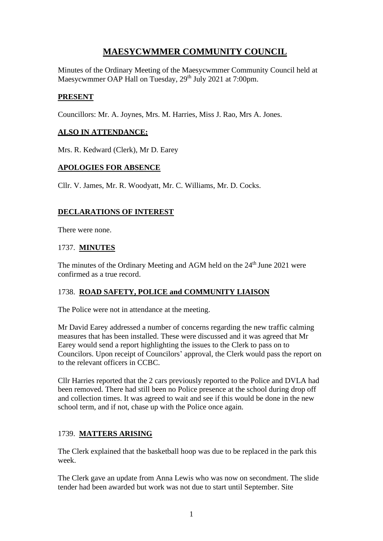# **MAESYCWMMER COMMUNITY COUNCIL**

Minutes of the Ordinary Meeting of the Maesycwmmer Community Council held at Maesycwmmer OAP Hall on Tuesday, 29<sup>th</sup> July 2021 at 7:00pm.

## **PRESENT**

Councillors: Mr. A. Joynes, Mrs. M. Harries, Miss J. Rao, Mrs A. Jones.

#### **ALSO IN ATTENDANCE:**

Mrs. R. Kedward (Clerk), Mr D. Earey

#### **APOLOGIES FOR ABSENCE**

Cllr. V. James, Mr. R. Woodyatt, Mr. C. Williams, Mr. D. Cocks.

#### **DECLARATIONS OF INTEREST**

There were none.

#### 1737. **MINUTES**

The minutes of the Ordinary Meeting and AGM held on the  $24<sup>th</sup>$  June 2021 were confirmed as a true record.

#### 1738. **ROAD SAFETY, POLICE and COMMUNITY LIAISON**

The Police were not in attendance at the meeting.

Mr David Earey addressed a number of concerns regarding the new traffic calming measures that has been installed. These were discussed and it was agreed that Mr Earey would send a report highlighting the issues to the Clerk to pass on to Councilors. Upon receipt of Councilors' approval, the Clerk would pass the report on to the relevant officers in CCBC.

Cllr Harries reported that the 2 cars previously reported to the Police and DVLA had been removed. There had still been no Police presence at the school during drop off and collection times. It was agreed to wait and see if this would be done in the new school term, and if not, chase up with the Police once again.

## 1739. **MATTERS ARISING**

The Clerk explained that the basketball hoop was due to be replaced in the park this week.

The Clerk gave an update from Anna Lewis who was now on secondment. The slide tender had been awarded but work was not due to start until September. Site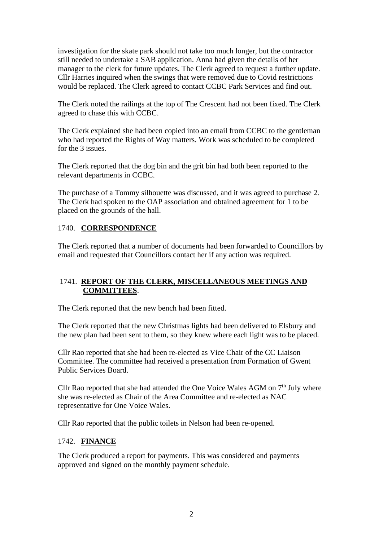investigation for the skate park should not take too much longer, but the contractor still needed to undertake a SAB application. Anna had given the details of her manager to the clerk for future updates. The Clerk agreed to request a further update. Cllr Harries inquired when the swings that were removed due to Covid restrictions would be replaced. The Clerk agreed to contact CCBC Park Services and find out.

The Clerk noted the railings at the top of The Crescent had not been fixed. The Clerk agreed to chase this with CCBC.

The Clerk explained she had been copied into an email from CCBC to the gentleman who had reported the Rights of Way matters. Work was scheduled to be completed for the 3 issues.

The Clerk reported that the dog bin and the grit bin had both been reported to the relevant departments in CCBC.

The purchase of a Tommy silhouette was discussed, and it was agreed to purchase 2. The Clerk had spoken to the OAP association and obtained agreement for 1 to be placed on the grounds of the hall.

## 1740. **CORRESPONDENCE**

The Clerk reported that a number of documents had been forwarded to Councillors by email and requested that Councillors contact her if any action was required.

## 1741. **REPORT OF THE CLERK, MISCELLANEOUS MEETINGS AND COMMITTEES**.

The Clerk reported that the new bench had been fitted.

The Clerk reported that the new Christmas lights had been delivered to Elsbury and the new plan had been sent to them, so they knew where each light was to be placed.

Cllr Rao reported that she had been re-elected as Vice Chair of the CC Liaison Committee. The committee had received a presentation from Formation of Gwent Public Services Board.

Cllr Rao reported that she had attended the One Voice Wales AGM on  $7<sup>th</sup>$  July where she was re-elected as Chair of the Area Committee and re-elected as NAC representative for One Voice Wales.

Cllr Rao reported that the public toilets in Nelson had been re-opened.

## 1742. **FINANCE**

The Clerk produced a report for payments. This was considered and payments approved and signed on the monthly payment schedule.